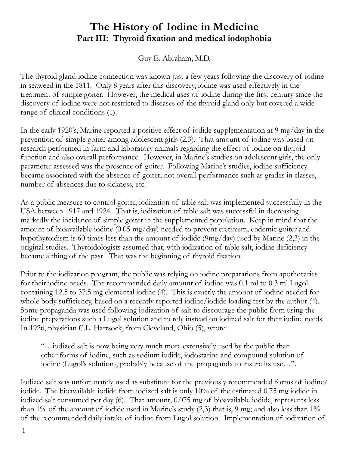## **The History of Iodine in Medicine Part III: Thyroid fixation and medical iodophobia**

Guy E. Abraham, M.D.

The thyroid gland-iodine connection was known just a few years following the discovery of iodine in seaweed in the 1811. Only 8 years after this discovery, iodine was used effectively in the treatment of simple goiter. However, the medical uses of iodine during the first century since the discovery of iodine were not restricted to diseases of the thyroid gland only but covered a wide range of clinical conditions  $(1)$ .

In the early 1920's, Marine reported a positive effect of iodide supplementation at 9 mg/day in the prevention of simple goiter among adolescent girls (2,3). That amount of iodine was based on research performed in farm and laboratory animals regarding the effect of iodine on thyroid function and also overall performance. However, in Marine's studies on adolescent girls, the only parameter assessed was the presence of goiter. Following Marine's studies, iodine sufficiency became associated with the absence of goiter, not overall performance such as grades in classes, number of absences due to sickness, etc.

As a public measure to control goiter, iodization of table salt was implemented successfully in the USA between 1917 and 1924. That is, iodization of table salt was successful in decreasing markedly the incidence of simple goiter in the supplemented population. Keep in mind that the amount of bioavailable iodine (0.05 mg/day) needed to prevent cretinism, endemic goiter and hypothyroidism is 60 times less than the amount of iodide (9mg/day) used by Marine (2,3) in the original studies. Thyroidologists assumed that, with iodization of table salt, iodine deficiency became a thing of the past. That was the beginning of thyroid fixation.

Prior to the iodization program, the public was relying on iodine preparations from apothecaries for their iodine needs. The recommended daily amount of iodine was 0.1 ml to 0.3 ml Lugol containing 12.5 to 37.5 mg elemental iodine (4). This is exactly the amount of iodine needed for whole body sufficiency, based on a recently reported iodine/iodide loading test by the author (4). Some propaganda was used following iodization of salt to discourage the public from using the iodine preparations such a Lugol solution and to rely instead on iodized salt for their iodine needs. In 1926, physician C.L. Hartsock, from Cleveland, Ohio (5), wrote:

"…iodized salt is now being very much more extensively used by the public than other forms of iodine, such as sodium iodide, iodostarine and compound solution of iodine (Lugol's solution), probably because of the propaganda to insure its use…".

Iodized salt was unfortunately used as substitute for the previously recommended forms of iodine/ iodide. The bioavailable iodide from iodized salt is only 10% of the estimated 0.75 mg iodide in iodized salt consumed per day (6). That amount, 0.075 mg of bioavailable iodide, represents less than 1% of the amount of iodide used in Marine's study  $(2,3)$  that is, 9 mg; and also less than 1% of the recommended daily intake of iodine from Lugol solution. Implementation of iodization of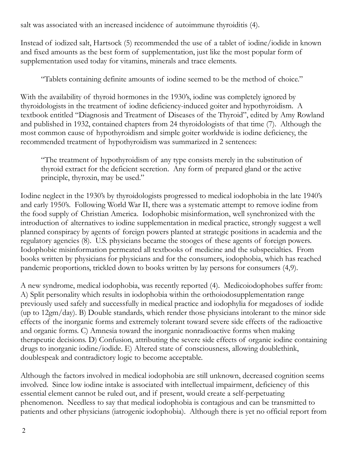salt was associated with an increased incidence of autoimmune thyroiditis (4).

Instead of iodized salt, Hartsock (5) recommended the use of a tablet of iodine/iodide in known and fixed amounts as the best form of supplementation, just like the most popular form of supplementation used today for vitamins, minerals and trace elements.

"Tablets containing definite amounts of iodine seemed to be the method of choice."

With the availability of thyroid hormones in the 1930's, iodine was completely ignored by thyroidologists in the treatment of iodine deficiency-induced goiter and hypothyroidism. A textbook entitled "Diagnosis and Treatment of Diseases of the Thyroid", edited by Amy Rowland and published in 1932, contained chapters from 24 thyroidologists of that time (7). Although the most common cause of hypothyroidism and simple goiter worldwide is iodine deficiency, the recommended treatment of hypothyroidism was summarized in 2 sentences:

"The treatment of hypothyroidism of any type consists merely in the substitution of thyroid extract for the deficient secretion. Any form of prepared gland or the active principle, thyroxin, may be used."

Iodine neglect in the 1930's by thyroidologists progressed to medical iodophobia in the late 1940's and early 1950's. Following World War II, there was a systematic attempt to remove iodine from the food supply of Christian America. Iodophobic misinformation, well synchronized with the introduction of alternatives to iodine supplementation in medical practice, strongly suggest a well planned conspiracy by agents of foreign powers planted at strategic positions in academia and the regulatory agencies (8). U.S. physicians became the stooges of these agents of foreign powers. Iodophobic misinformation permeated all textbooks of medicine and the subspecialties. From books written by physicians for physicians and for the consumers, iodophobia, which has reached pandemic proportions, trickled down to books written by lay persons for consumers (4,9).

A new syndrome, medical iodophobia, was recently reported (4). Medicoiodophobes suffer from: A) Split personality which results in iodophobia within the orthoiodosupplementation range previously used safely and successfully in medical practice and iodophylia for megadoses of iodide (up to 12gm/day). B) Double standards, which render those physicians intolerant to the minor side effects of the inorganic forms and extremely tolerant toward severe side effects of the radioactive and organic forms. C) Amnesia toward the inorganic nonradioactive forms when making therapeutic decisions. D) Confusion, attributing the severe side effects of organic iodine containing drugs to inorganic iodine/iodide. E) Altered state of consciousness, allowing doublethink, doublespeak and contradictory logic to become acceptable.

Although the factors involved in medical iodophobia are still unknown, decreased cognition seems involved. Since low iodine intake is associated with intellectual impairment, deficiency of this essential element cannot be ruled out, and if present, would create a self-perpetuating phenomenon. Needless to say that medical iodophobia is contagious and can be transmitted to patients and other physicians (iatrogenic iodophobia). Although there is yet no official report from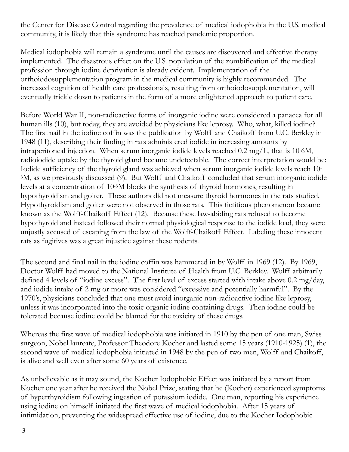the Center for Disease Control regarding the prevalence of medical iodophobia in the U.S. medical community, it is likely that this syndrome has reached pandemic proportion.

Medical iodophobia will remain a syndrome until the causes are discovered and effective therapy implemented. The disastrous effect on the U.S. population of the zombification of the medical profession through iodine deprivation is already evident. Implementation of the orthoiodosupplementation program in the medical community is highly recommended. The increased cognition of health care professionals, resulting from orthoiodosupplementation, will eventually trickle down to patients in the form of a more enlightened approach to patient care.

Before World War II, non-radioactive forms of inorganic iodine were considered a panacea for all human ills (10), but today, they are avoided by physicians like leprosy. Who, what, killed iodine? The first nail in the iodine coffin was the publication by Wolff and Chaikoff from U.C. Berkley in 1948 (11), describing their finding in rats administered iodide in increasing amounts by intraperitoneal injection. When serum inorganic iodide levels reached 0.2 mg/L, that is 10- 6M, radioiodide uptake by the thyroid gland became undetectable. The correct interpretation would be: Iodide sufficiency of the thyroid gland was achieved when serum inorganic iodide levels reach 10- 6M, as we previously discussed (9). But Wolff and Chaikoff concluded that serum inorganic iodide levels at a concentration of 10-6M blocks the synthesis of thyroid hormones, resulting in hypothyroidism and goiter. These authors did not measure thyroid hormones in the rats studied. Hypothyroidism and goiter were not observed in those rats. This fictitious phenomenon became known as the Wolff-Chaikoff Effect (12). Because these law-abiding rats refused to become hypothyroid and instead followed their normal physiological response to the iodide load, they were unjustly accused of escaping from the law of the Wolff-Chaikoff Effect. Labeling these innocent rats as fugitives was a great injustice against these rodents.

The second and final nail in the iodine coffin was hammered in by Wolff in 1969 (12). By 1969, Doctor Wolff had moved to the National Institute of Health from U.C. Berkley. Wolff arbitrarily defined 4 levels of "iodine excess". The first level of excess started with intake above 0.2 mg/day, and iodide intake of 2 mg or more was considered "excessive and potentially harmful". By the 1970's, physicians concluded that one must avoid inorganic non-radioactive iodine like leprosy, unless it was incorporated into the toxic organic iodine containing drugs. Then iodine could be tolerated because iodine could be blamed for the toxicity of these drugs.

Whereas the first wave of medical iodophobia was initiated in 1910 by the pen of one man, Swiss surgeon, Nobel laureate, Professor Theodore Kocher and lasted some 15 years (1910-1925) (1), the second wave of medical iodophobia initiated in 1948 by the pen of two men, Wolff and Chaikoff, is alive and well even after some 60 years of existence.

As unbelievable as it may sound, the Kocher Iodophobic Effect was initiated by a report from Kocher one year after he received the Nobel Prize, stating that he (Kocher) experienced symptoms of hyperthyroidism following ingestion of potassium iodide. One man, reporting his experience using iodine on himself initiated the first wave of medical iodophobia. After 15 years of intimidation, preventing the widespread effective use of iodine, due to the Kocher Iodophobic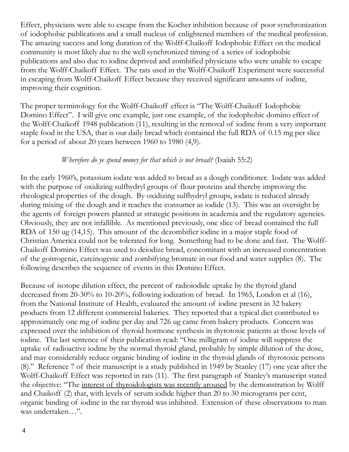Effect, physicians were able to escape from the Kocher inhibition because of poor synchronization of iodophobic publications and a small nucleus of enlightened members of the medical profession. The amazing success and long duration of the Wolff-Chaikoff Iodophobic Effect on the medical community is most likely due to the well synchronized timing of a series of iodophobic publications and also due to iodine deprived and zombified physicians who were unable to escape from the Wolff-Chaikoff Effect. The rats used in the Wolff-Chaikoff Experiment were successful in escaping from Wolff-Chaikoff Effect because they received significant amounts of iodine, improving their cognition.

The proper terminology for the Wolff-Chaikoff effect is "The Wolff-Chaikoff Iodophobic Domino Effect". I will give one example, just one example, of the iodophobic domino effect of the Wolff-Chaikoff 1948 publication (11), resulting in the removal of iodine from a very important staple food in the USA, that is our daily bread which contained the full RDA of 0.15 mg per slice for a period of about 20 years between 1960 to 1980 (4,9).

## *Wherefore do ye spend money for that which is not bread?* (Isaiah 55:2)

In the early 1960's, potassium iodate was added to bread as a dough conditioner. Iodate was added with the purpose of oxidizing sulfhydryl groups of flour proteins and thereby improving the rheological properties of the dough. By oxidizing sulfhydryl groups, iodate is reduced already during mixing of the dough and it reaches the consumer as iodide (13). This was an oversight by the agents of foreign powers planted at strategic positions in academia and the regulatory agencies. Obviously, they are not infallible. As mentioned previously, one slice of bread contained the full RDA of 150 ug (14,15). This amount of the dezombifier iodine in a major staple food of Christian America could not be tolerated for long. Something had to be done and fast. The Wolff-Chaikoff Domino Effect was used to deiodize bread, concomitant with an increased concentration of the goitrogenic, carcinogenic and zombifying bromate in our food and water supplies (8). The following describes the sequence of events in this Domino Effect.

Because of isotope dilution effect, the percent of radioiodide uptake by the thyroid gland decreased from 20-30% to 10-20%, following iodization of bread. In 1965, London et al (16), from the National Institute of Health, evaluated the amount of iodine present in 32 bakery products from 12 different commercial bakeries. They reported that a typical diet contributed to approximately one mg of iodine per day and 726 ug came from bakery products. Concern was expressed over the inhibition of thyroid hormone synthesis in thyrotoxic patients at those levels of iodine. The last sentence of their publication read: "One milligram of iodine will suppress the uptake of radioactive iodine by the normal thyroid gland, probably by simple dilution of the dose, and may considerably reduce organic binding of iodine in the thyroid glands of thyrotoxic persons (8)." Reference 7 of their manuscript is a study published in 1949 by Stanley (17) one year after the Wolff-Chaikoff Effect was reported in rats (11). The first paragraph of Stanley's manuscript stated the objective: "The interest of thyroidologists was recently aroused by the demonstration by Wolff and Chaikoff (2) that, with levels of serum iodide higher than 20 to 30 micrograms per cent, organic binding of iodine in the rat thyroid was inhibited. Extension of these observations to man was undertaken…".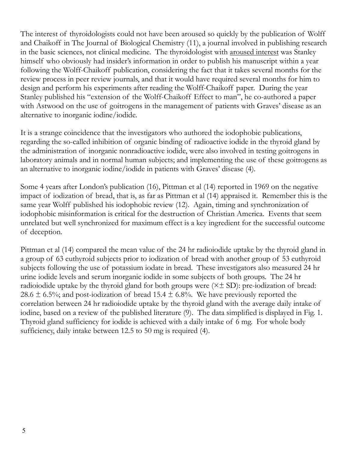The interest of thyroidologists could not have been aroused so quickly by the publication of Wolff and Chaikoff in The Journal of Biological Chemistry (11), a journal involved in publishing research in the basic sciences, not clinical medicine. The thyroidologist with aroused interest was Stanley himself who obviously had insider's information in order to publish his manuscript within a year following the Wolff-Chaikoff publication, considering the fact that it takes several months for the review process in peer review journals, and that it would have required several months for him to design and perform his experiments after reading the Wolff-Chaikoff paper. During the year Stanley published his "extension of the Wolff-Chaikoff Effect to man", he co-authored a paper with Astwood on the use of goitrogens in the management of patients with Graves' disease as an alternative to inorganic iodine/iodide.

It is a strange coincidence that the investigators who authored the iodophobic publications, regarding the so-called inhibition of organic binding of radioactive iodide in the thyroid gland by the administration of inorganic nonradioactive iodide, were also involved in testing goitrogens in laboratory animals and in normal human subjects; and implementing the use of these goitrogens as an alternative to inorganic iodine/iodide in patients with Graves' disease (4).

Some 4 years after London's publication (16), Pittman et al (14) reported in 1969 on the negative impact of iodization of bread, that is, as far as Pittman et al (14) appraised it. Remember this is the same year Wolff published his iodophobic review (12). Again, timing and synchronization of iodophobic misinformation is critical for the destruction of Christian America. Events that seem unrelated but well synchronized for maximum effect is a key ingredient for the successful outcome of deception.

Pittman et al (14) compared the mean value of the 24 hr radioiodide uptake by the thyroid gland in a group of 63 euthyroid subjects prior to iodization of bread with another group of 53 euthyroid subjects following the use of potassium iodate in bread. These investigators also measured 24 hr urine iodide levels and serum inorganic iodide in some subjects of both groups. The 24 hr radioiodide uptake by the thyroid gland for both groups were  $(\times \pm SD)$ : pre-iodization of bread: 28.6  $\pm$  6.5%; and post-iodization of bread 15.4  $\pm$  6.8%. We have previously reported the correlation between 24 hr radioiodide uptake by the thyroid gland with the average daily intake of iodine, based on a review of the published literature (9). The data simplified is displayed in Fig. 1. Thyroid gland sufficiency for iodide is achieved with a daily intake of 6 mg. For whole body sufficiency, daily intake between 12.5 to 50 mg is required (4).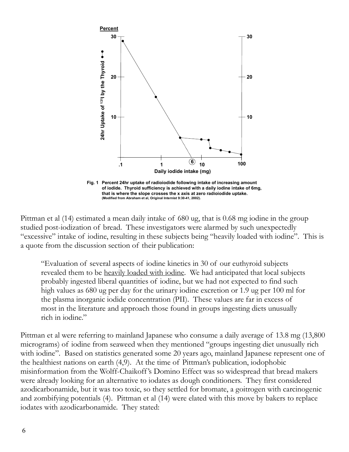

Pittman et al (14) estimated a mean daily intake of 680 ug, that is 0.68 mg iodine in the group studied post-iodization of bread. These investigators were alarmed by such unexpectedly "excessive" intake of iodine, resulting in these subjects being "heavily loaded with iodine". This is a quote from the discussion section of their publication:

"Evaluation of several aspects of iodine kinetics in 30 of our euthyroid subjects revealed them to be heavily loaded with iodine. We had anticipated that local subjects probably ingested liberal quantities of iodine, but we had not expected to find such high values as 680 ug per day for the urinary iodine excretion or 1.9 ug per 100 ml for the plasma inorganic iodide concentration (PII). These values are far in excess of most in the literature and approach those found in groups ingesting diets unusually rich in iodine."

Pittman et al were referring to mainland Japanese who consume a daily average of 13.8 mg (13,800 micrograms) of iodine from seaweed when they mentioned "groups ingesting diet unusually rich with iodine". Based on statistics generated some 20 years ago, mainland Japanese represent one of the healthiest nations on earth (4,9). At the time of Pittman's publication, iodophobic misinformation from the Wolff-Chaikoff 's Domino Effect was so widespread that bread makers were already looking for an alternative to iodates as dough conditioners. They first considered azodicarbonamide, but it was too toxic, so they settled for bromate, a goitrogen with carcinogenic and zombifying potentials (4). Pittman et al (14) were elated with this move by bakers to replace **Example 12**<br> **Example 20**<br> **Example 20**<br> **Example 20**<br> **Example 20**<br> **Example 20**<br> **Example 20**<br> **Example 20**<br> **Example 20**<br> **Example 20**<br> **Example 20**<br> **Example 20**<br> **Example 20**<br> **Example 20**<br> **Example 20**<br> **Example 20**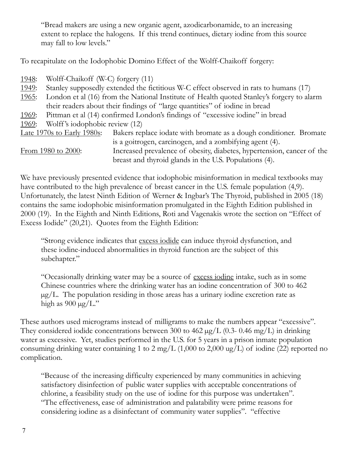"Bread makers are using a new organic agent, azodicarbonamide, to an increasing extent to replace the halogens. If this trend continues, dietary iodine from this source may fall to low levels."

To recapitulate on the Iodophobic Domino Effect of the Wolff-Chaikoff forgery:

- 1948: Wolff-Chaikoff (W-C) forgery (11)
- 1949: Stanley supposedly extended the fictitious W-C effect observed in rats to humans (17)
- 1965: London et al (16) from the National Institute of Health quoted Stanley's forgery to alarm their readers about their findings of "large quantities" of iodine in bread
- 1969: Pittman et al (14) confirmed London's findings of "excessive iodine" in bread
- 1969: Wolff's iodophobic review (12)

| Late 1970s to Early 1980s: | Bakers replace iodate with bromate as a dough conditioner. Bromate     |
|----------------------------|------------------------------------------------------------------------|
|                            | is a goitrogen, carcinogen, and a zombifying agent (4).                |
| From 1980 to 2000:         | Increased prevalence of obesity, diabetes, hypertension, cancer of the |
|                            | breast and thyroid glands in the U.S. Populations (4).                 |

We have previously presented evidence that iodophobic misinformation in medical textbooks may have contributed to the high prevalence of breast cancer in the U.S. female population (4,9). Unfortunately, the latest Ninth Edition of Werner & Ingbar's The Thyroid, published in 2005 (18) contains the same iodophobic misinformation promulgated in the Eighth Edition published in 2000 (19). In the Eighth and Ninth Editions, Roti and Vagenakis wrote the section on "Effect of Excess Iodide" (20,21). Quotes from the Eighth Edition:

"Strong evidence indicates that excess iodide can induce thyroid dysfunction, and these iodine-induced abnormalities in thyroid function are the subject of this subchapter."

"Occasionally drinking water may be a source of excess iodine intake, such as in some Chinese countries where the drinking water has an iodine concentration of 300 to 462  $\mu$ g/L. The population residing in those areas has a urinary iodine excretion rate as high as  $900 \mu g/L$ ."

These authors used micrograms instead of milligrams to make the numbers appear "excessive". They considered iodide concentrations between 300 to 462  $\mu$ g/L (0.3- 0.46 mg/L) in drinking water as excessive. Yet, studies performed in the U.S. for 5 years in a prison inmate population consuming drinking water containing 1 to 2 mg/L  $(1,000 \text{ to } 2,000 \text{ ug/L})$  of iodine (22) reported no complication.

"Because of the increasing difficulty experienced by many communities in achieving satisfactory disinfection of public water supplies with acceptable concentrations of chlorine, a feasibility study on the use of iodine for this purpose was undertaken". "The effectiveness, ease of administration and palatability were prime reasons for considering iodine as a disinfectant of community water supplies". "effective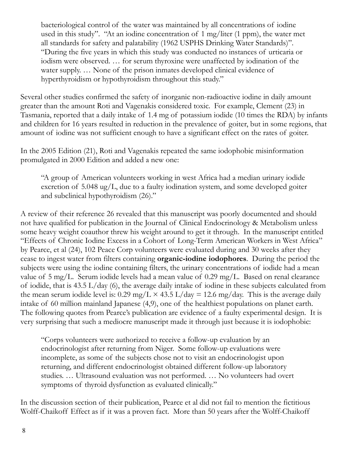bacteriological control of the water was maintained by all concentrations of iodine used in this study". "At an iodine concentration of 1 mg/liter (1 ppm), the water met all standards for safety and palatability (1962 USPHS Drinking Water Standards)". "During the five years in which this study was conducted no instances of urticaria or iodism were observed. … for serum thyroxine were unaffected by iodination of the water supply. … None of the prison inmates developed clinical evidence of hyperthyroidism or hypothyroidism throughout this study."

Several other studies confirmed the safety of inorganic non-radioactive iodine in daily amount greater than the amount Roti and Vagenakis considered toxic. For example, Clement (23) in Tasmania, reported that a daily intake of 1.4 mg of potassium iodide (10 times the RDA) by infants and children for 16 years resulted in reduction in the prevalence of goiter, but in some regions, that amount of iodine was not sufficient enough to have a significant effect on the rates of goiter.

In the 2005 Edition (21), Roti and Vagenakis repeated the same iodophobic misinformation promulgated in 2000 Edition and added a new one:

"A group of American volunteers working in west Africa had a median urinary iodide excretion of 5.048 ug/L, due to a faulty iodination system, and some developed goiter and subclinical hypothyroidism (26)."

A review of their reference 26 revealed that this manuscript was poorly documented and should not have qualified for publication in the Journal of Clinical Endocrinology & Metabolism unless some heavy weight coauthor threw his weight around to get it through. In the manuscript entitled "Effects of Chronic Iodine Excess in a Cohort of Long-Term American Workers in West Africa" by Pearce, et al (24), 102 Peace Corp volunteers were evaluated during and 30 weeks after they cease to ingest water from filters containing **organic-iodine iodophores**. During the period the subjects were using the iodine containing filters, the urinary concentrations of iodide had a mean value of 5 mg/L. Serum iodide levels had a mean value of 0.29 mg/L. Based on renal clearance of iodide, that is 43.5 L/day (6), the average daily intake of iodine in these subjects calculated from the mean serum iodide level is: 0.29 mg/L  $\times$  43.5 L/day = 12.6 mg/day. This is the average daily intake of 60 million mainland Japanese (4,9), one of the healthiest populations on planet earth. The following quotes from Pearce's publication are evidence of a faulty experimental design. It is very surprising that such a mediocre manuscript made it through just because it is iodophobic:

"Corps volunteers were authorized to receive a follow-up evaluation by an endocrinologist after returning from Niger. Some follow-up evaluations were incomplete, as some of the subjects chose not to visit an endocrinologist upon returning, and different endocrinologist obtained different follow-up laboratory studies. … Ultrasound evaluation was not performed. … No volunteers had overt symptoms of thyroid dysfunction as evaluated clinically."

In the discussion section of their publication, Pearce et al did not fail to mention the fictitious Wolff-Chaikoff Effect as if it was a proven fact. More than 50 years after the Wolff-Chaikoff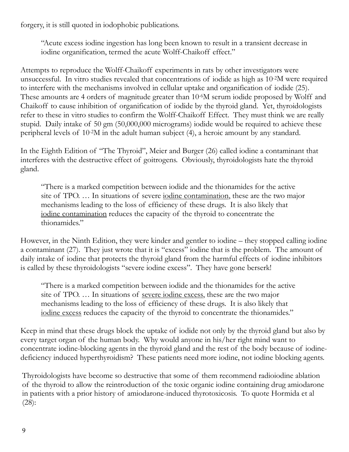forgery, it is still quoted in iodophobic publications.

"Acute excess iodine ingestion has long been known to result in a transient decrease in iodine organification, termed the acute Wolff-Chaikoff effect."

Attempts to reproduce the Wolff-Chaikoff experiments in rats by other investigators were unsuccessful. In vitro studies revealed that concentrations of iodide as high as 10-2M were required to interfere with the mechanisms involved in cellular uptake and organification of iodide (25). These amounts are 4 orders of magnitude greater than 10-6M serum iodide proposed by Wolff and Chaikoff to cause inhibition of organification of iodide by the thyroid gland. Yet, thyroidologists refer to these in vitro studies to confirm the Wolff-Chaikoff Effect. They must think we are really stupid. Daily intake of 50 gm (50,000,000 micrograms) iodide would be required to achieve these peripheral levels of 10-2M in the adult human subject (4), a heroic amount by any standard.

In the Eighth Edition of "The Thyroid", Meier and Burger (26) called iodine a contaminant that interferes with the destructive effect of goitrogens. Obviously, thyroidologists hate the thyroid gland.

"There is a marked competition between iodide and the thionamides for the active site of TPO. … In situations of severe iodine contamination, these are the two major mechanisms leading to the loss of efficiency of these drugs. It is also likely that iodine contamination reduces the capacity of the thyroid to concentrate the thionamides."

However, in the Ninth Edition, they were kinder and gentler to iodine – they stopped calling iodine a contaminant (27). They just wrote that it is "excess" iodine that is the problem. The amount of daily intake of iodine that protects the thyroid gland from the harmful effects of iodine inhibitors is called by these thyroidologists "severe iodine excess". They have gone berserk!

"There is a marked competition between iodide and the thionamides for the active site of TPO. … In situations of severe iodine excess, these are the two major mechanisms leading to the loss of efficiency of these drugs. It is also likely that iodine excess reduces the capacity of the thyroid to concentrate the thionamides."

Keep in mind that these drugs block the uptake of iodide not only by the thyroid gland but also by every target organ of the human body. Why would anyone in his/her right mind want to concentrate iodine-blocking agents in the thyroid gland and the rest of the body because of iodinedeficiency induced hyperthyroidism? These patients need more iodine, not iodine blocking agents.

Thyroidologists have become so destructive that some of them recommend radioiodine ablation of the thyroid to allow the reintroduction of the toxic organic iodine containing drug amiodarone in patients with a prior history of amiodarone-induced thyrotoxicosis. To quote Hormida et al (28):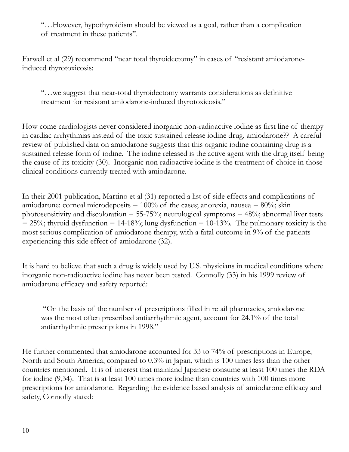"…However, hypothyroidism should be viewed as a goal, rather than a complication of treatment in these patients".

Farwell et al (29) recommend "near total thyroidectomy" in cases of "resistant amiodaroneinduced thyrotoxicosis:

"…we suggest that near-total thyroidectomy warrants considerations as definitive treatment for resistant amiodarone-induced thyrotoxicosis."

How come cardiologists never considered inorganic non-radioactive iodine as first line of therapy in cardiac arrhythmias instead of the toxic sustained release iodine drug, amiodarone?? A careful review of published data on amiodarone suggests that this organic iodine containing drug is a sustained release form of iodine. The iodine released is the active agent with the drug itself being the cause of its toxicity (30). Inorganic non radioactive iodine is the treatment of choice in those clinical conditions currently treated with amiodarone.

In their 2001 publication, Martino et al (31) reported a list of side effects and complications of amiodarone: corneal microdeposits  $= 100\%$  of the cases; anorexia, nausea  $= 80\%$ ; skin photosensitivity and discoloration  $= 55-75\%$ ; neurological symptoms  $= 48\%$ ; abnormal liver tests  $= 25\%$ ; thyroid dysfunction  $= 14-18\%$ ; lung dysfunction  $= 10-13\%$ . The pulmonary toxicity is the most serious complication of amiodarone therapy, with a fatal outcome in 9% of the patients experiencing this side effect of amiodarone (32).

It is hard to believe that such a drug is widely used by U.S. physicians in medical conditions where inorganic non-radioactive iodine has never been tested. Connolly (33) in his 1999 review of amiodarone efficacy and safety reported:

 "On the basis of the number of prescriptions filled in retail pharmacies, amiodarone was the most often prescribed antiarrhythmic agent, account for 24.1% of the total antiarrhythmic prescriptions in 1998."

He further commented that amiodarone accounted for 33 to 74% of prescriptions in Europe, North and South America, compared to 0.3% in Japan, which is 100 times less than the other countries mentioned. It is of interest that mainland Japanese consume at least 100 times the RDA for iodine (9,34). That is at least 100 times more iodine than countries with 100 times more prescriptions for amiodarone. Regarding the evidence based analysis of amiodarone efficacy and safety, Connolly stated: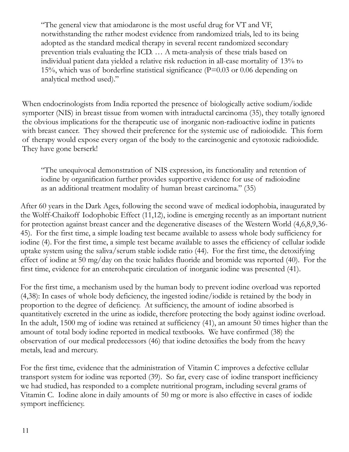"The general view that amiodarone is the most useful drug for VT and VF, notwithstanding the rather modest evidence from randomized trials, led to its being adopted as the standard medical therapy in several recent randomized secondary prevention trials evaluating the ICD. … A meta-analysis of these trials based on individual patient data yielded a relative risk reduction in all-case mortality of 13% to 15%, which was of borderline statistical significance (P=0.03 or 0.06 depending on analytical method used)."

When endocrinologists from India reported the presence of biologically active sodium/iodide symporter (NIS) in breast tissue from women with intraductal carcinoma (35), they totally ignored the obvious implications for the therapeutic use of inorganic non-radioactive iodine in patients with breast cancer. They showed their preference for the systemic use of radioiodide. This form of therapy would expose every organ of the body to the carcinogenic and cytotoxic radioiodide. They have gone berserk!

"The unequivocal demonstration of NIS expression, its functionality and retention of iodine by organification further provides supportive evidence for use of radioiodine as an additional treatment modality of human breast carcinoma." (35)

After 60 years in the Dark Ages, following the second wave of medical iodophobia, inaugurated by the Wolff-Chaikoff Iodophobic Effect (11,12), iodine is emerging recently as an important nutrient for protection against breast cancer and the degenerative diseases of the Western World (4,6,8,9,36- 45). For the first time, a simple loading test became available to assess whole body sufficiency for iodine (4). For the first time, a simple test became available to asses the efficiency of cellular iodide uptake system using the saliva/serum stable iodide ratio (44). For the first time, the detoxifying effect of iodine at 50 mg/day on the toxic halides fluoride and bromide was reported (40). For the first time, evidence for an enterohepatic circulation of inorganic iodine was presented (41).

For the first time, a mechanism used by the human body to prevent iodine overload was reported (4,38): In cases of whole body deficiency, the ingested iodine/iodide is retained by the body in proportion to the degree of deficiency. At sufficiency, the amount of iodine absorbed is quantitatively excreted in the urine as iodide, therefore protecting the body against iodine overload. In the adult, 1500 mg of iodine was retained at sufficiency (41), an amount 50 times higher than the amount of total body iodine reported in medical textbooks. We have confirmed (38) the observation of our medical predecessors (46) that iodine detoxifies the body from the heavy metals, lead and mercury.

For the first time, evidence that the administration of Vitamin C improves a defective cellular transport system for iodine was reported (39). So far, every case of iodine transport inefficiency we had studied, has responded to a complete nutritional program, including several grams of Vitamin C. Iodine alone in daily amounts of 50 mg or more is also effective in cases of iodide symport inefficiency.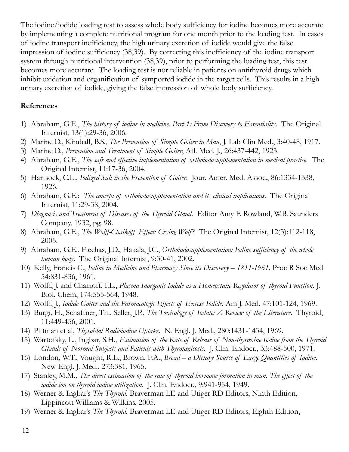The iodine/iodide loading test to assess whole body sufficiency for iodine becomes more accurate by implementing a complete nutritional program for one month prior to the loading test. In cases of iodine transport inefficiency, the high urinary excretion of iodide would give the false impression of iodine sufficiency (38,39). By correcting this inefficiency of the iodine transport system through nutritional intervention (38,39), prior to performing the loading test, this test becomes more accurate. The loading test is not reliable in patients on antithyroid drugs which inhibit oxidation and organification of symported iodide in the target cells. This results in a high urinary excretion of iodide, giving the false impression of whole body sufficiency.

## **References**

- 1) Abraham, G.E., *The history of iodine in medicine. Part 1: From Discovery to Essentiality*. The Original Internist, 13(1):29-36, 2006.
- 2) Marine D., Kimball, B.S., *The Prevention of Simple Goiter in Man*, J. Lab Clin Med., 3:40-48, 1917.
- 3) Marine D., *Prevention and Treatment of Simple Goiter*, Atl. Med. J., 26:437-442, 1923.
- 4) Abraham, G.E., *The safe and effective implementation of orthoiodosupplementation in medical practice*. The Original Internist, 11:17-36, 2004.
- 5) Hartsock, C.L., *Iodized Salt in the Prevention of Goiter*. Jour. Amer. Med. Assoc., 86:1334-1338, 1926.
- 6) Abraham, G.E.: *The concept of orthoiodosupplementation and its clinical implications*. The Original Internist, 11:29-38, 2004.
- 7) *Diagnosis and Treatment of Diseases of the Thyroid Gland*. Editor Amy F. Rowland, W.B. Saunders Company, 1932, pg. 98.
- 8) Abraham, G.E., *The Wolff-Chaikoff Effect: Crying Wolf?* The Original Internist, 12(3):112-118, 2005.
- 9) Abraham, G.E., Flechas, J.D., Hakala, J.C., *Orthoiodosupplementation: Iodine sufficiency of the whole human body*. The Original Internist, 9:30-41, 2002.
- 10) Kelly, Francis C., *Iodine in Medicine and Pharmacy Since its Discovery 1811-1961*. Proc R Soc Med 54:831-836, 1961.
- 11) Wolff, J. and Chaikoff, I.L., *Plasma Inorganic Iodide as a Homeostatic Regulator of thyroid Function*. J. Biol. Chem, 174:555-564, 1948.
- 12) Wolff, J., *Iodide Goiter and the Parmacologic Effects of Excess Iodide*. Am J. Med. 47:101-124, 1969.
- 13) Burgi, H., Schaffner, Th., Seller, J.P., *The Toxicology of Iodate: A Review of the Literature*. Thyroid, 11:449-456, 2001.
- 14) Pittman et al, *Thyroidal Radioiodine Uptake*. N. Engl. J. Med., 280:1431-1434, 1969.
- 15) Wartofsky, L., Ingbar, S.H., *Estimation of the Rate of Release of Non-thyroxine Iodine from the Thyroid Glands of Normal Subjects and Patients with Thyrotoxicosis*. J. Clin. Endocr., 33:488-500, 1971.
- 16) London, W.T., Vought, R.L., Brown, F.A., *Bread a Dietary Source of Large Quantities of Iodine*. New Engl. J. Med., 273:381, 1965.
- 17) Stanley, M.M., *The direct estimation of the rate of thyroid hormone formation in man. The effect of the iodide ion on thyroid iodine utilization*. J. Clin. Endocr., 9:941-954, 1949.
- 18) Werner & Ingbar's *The Thyroid.* Braverman LE and Utiger RD Editors, Ninth Edition, Lippincott Williams & Wilkins, 2005.
- 19) Werner & Ingbar's *The Thyroid.* Braverman LE and Utiger RD Editors, Eighth Edition,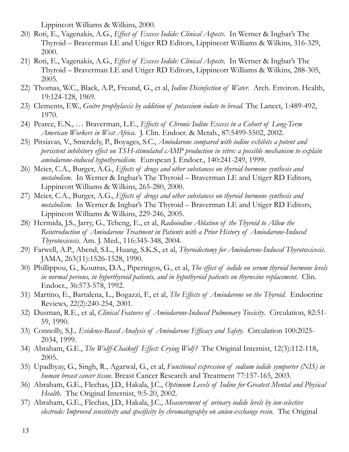Lippincott Williams & Wilkins, 2000.

- 20) Roti, E., Vagenakis, A.G., *Effect of Excess Iodide: Clinical Aspects*. In Werner & Ingbar's The Thyroid – Braverman LE and Utiger RD Editors, Lippincott Williams & Wilkins, 316-329, 2000.
- 21) Roti, E., Vagenakis, A.G., *Effect of Excess Iodide: Clinical Aspects*. In Werner & Ingbar's The Thyroid – Braverman LE and Utiger RD Editors, Lippincott Williams & Wilkins, 288-305, 2005.
- 22) Thomas, W.C., Black, A.P., Freund, G., et al, *Iodine Disinfection of Water*. Arch. Environ. Health, 19:124-128, 1969.
- 23) Clements, F.W., *Goitre prophylaxis by addition of potassium iodate to bread*. The Lancet, 1:489-492, 1970.
- 24) Pearce, E.N., … Braverman, L.E., *Effects of Chronic Iodine Excess in a Cohort of Long-Term American Workers in West Africa*. J. Clin. Endocr. & Metab., 87:5499-5502, 2002.
- 25) Pitsiavas, V., Smerdely, P., Boyages, S.C., *Amiodarone compared with iodine exhibits a potent and persistent inhibitory effect on TSH-stimulated cAMP production in vitro: a possible mechanism to explain amiodarone-induced hypothyroidism*. European J. Endocr., 140:241-249, 1999.
- 26) Meier, C.A., Burger, A.G., *Effects of drugs and other substances on thyroid hormone synthesis and metabolism*. In Werner & Ingbar's The Thyroid – Braverman LE and Utiger RD Editors, Lippincott Williams & Wilkins, 265-280, 2000.
- 27) Meier, C.A., Burger, A.G., *Effects of drugs and other substances on thyroid hormone synthesis and metabolism*. In Werner & Ingbar's The Thyroid – Braverman LE and Utiger RD Editors, Lippincott Williams & Wilkins, 229-246, 2005.
- 28) Hermida, J.S., Jarry, G., Tcheng, E., et al, *Radioiodine Ablation of the Thyroid to Allow the Reintroduction of Amiodarone Treatment in Patients with a Prior History of Amiodarone-Induced Thyrotoxicosis*. Am. J. Med., 116:345-348, 2004.
- 29) Farwell, A.P., Abend, S.L., Huang, S.K.S., et al, *Thyroidectomy for Amiodarone-Induced Thyrotoxicosis*. JAMA, 263(11):1526-1528, 1990.
- 30) Phillippou, G., Koutras, D.A., Piperingos, G., et al, *The effect of iodide on serum thyroid hormone levels in normal persons, in hyperthyroid patients, and in hypothyroid patients on thyroxine replacement*. Clin. Endocr., 36:573-578, 1992.
- 31) Martino, E., Bartalena, L., Bogazzi, F., et al, *The Effects of Amiodarone on the Thyroid*. Endocrine Reviews, 22(2):240-254, 2001.
- 32) Dusman, R.E., et al, *Clinical Features of Amiodarone-Induced Pulmonary Toxicity*. Circulation, 82:51- 59, 1990.
- 33) Connolly, S.J*., Evidence-Based Analysis of Amiodarone Efficacy and Safety*. Circulation 100:2025- 2034, 1999.
- 34) Abraham, G.E., *The Wolff-Chaikoff Effect: Crying Wolf?* The Original Internist, 12(3):112-118, 2005.
- 35) Upadhyay, G., Singh, R., Agarwal, G., et al, *Functional expression of sodium iodide symporter (NIS) in human breast cancer tissue*. Breast Cancer Research and Treatment 77:157-165, 2003.
- 36) Abraham, G.E., Flechas, J.D., Hakala, J.C., *Optimum Levels of Iodine for Greatest Mental and Physical Health*. The Original Internist, 9:5-20, 2002.
- 37) Abraham, G.E., Flechas, J.D., Hakala, J.C., *Measurement of urinary iodide levels by ion-selective electrode: Improved sensitivity and specificity by chromatography on anion-exchange resin*. The Original